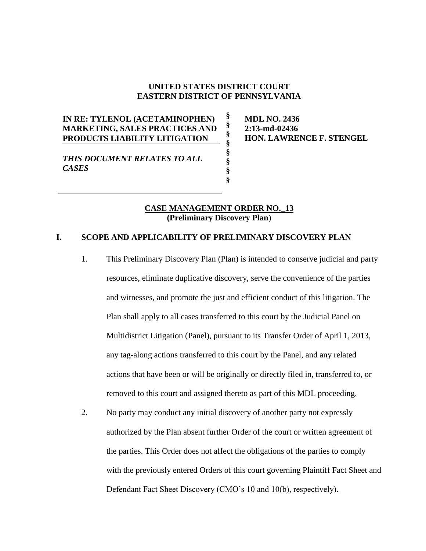### **UNITED STATES DISTRICT COURT EASTERN DISTRICT OF PENNSYLVANIA**

**§ § § § § § § §**

# **IN RE: TYLENOL (ACETAMINOPHEN) MARKETING, SALES PRACTICES AND PRODUCTS LIABILITY LITIGATION**

*THIS DOCUMENT RELATES TO ALL CASES*

**MDL NO. 2436 2:13-md-02436 HON. LAWRENCE F. STENGEL**

### **CASE MANAGEMENT ORDER NO.\_13 (Preliminary Discovery Plan**)

## **I. SCOPE AND APPLICABILITY OF PRELIMINARY DISCOVERY PLAN**

- 1. This Preliminary Discovery Plan (Plan) is intended to conserve judicial and party resources, eliminate duplicative discovery, serve the convenience of the parties and witnesses, and promote the just and efficient conduct of this litigation. The Plan shall apply to all cases transferred to this court by the Judicial Panel on Multidistrict Litigation (Panel), pursuant to its Transfer Order of April 1, 2013, any tag-along actions transferred to this court by the Panel, and any related actions that have been or will be originally or directly filed in, transferred to, or removed to this court and assigned thereto as part of this MDL proceeding.
- 2. No party may conduct any initial discovery of another party not expressly authorized by the Plan absent further Order of the court or written agreement of the parties. This Order does not affect the obligations of the parties to comply with the previously entered Orders of this court governing Plaintiff Fact Sheet and Defendant Fact Sheet Discovery (CMO's 10 and 10(b), respectively).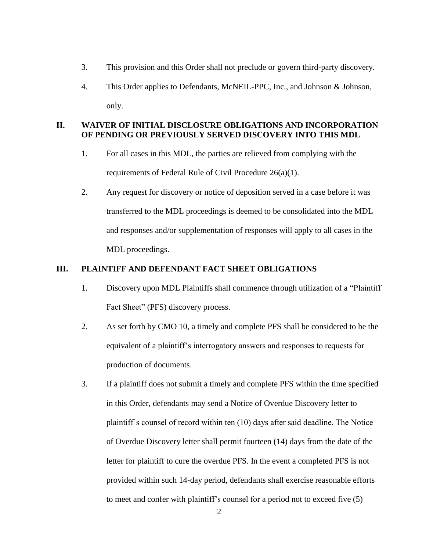- 3. This provision and this Order shall not preclude or govern third-party discovery.
- 4. This Order applies to Defendants, McNEIL-PPC, Inc., and Johnson & Johnson, only.

# **II. WAIVER OF INITIAL DISCLOSURE OBLIGATIONS AND INCORPORATION OF PENDING OR PREVIOUSLY SERVED DISCOVERY INTO THIS MDL**

- 1. For all cases in this MDL, the parties are relieved from complying with the requirements of Federal Rule of Civil Procedure 26(a)(1).
- 2. Any request for discovery or notice of deposition served in a case before it was transferred to the MDL proceedings is deemed to be consolidated into the MDL and responses and/or supplementation of responses will apply to all cases in the MDL proceedings.

# **III. PLAINTIFF AND DEFENDANT FACT SHEET OBLIGATIONS**

- 1. Discovery upon MDL Plaintiffs shall commence through utilization of a "Plaintiff Fact Sheet" (PFS) discovery process.
- 2. As set forth by CMO 10, a timely and complete PFS shall be considered to be the equivalent of a plaintiff's interrogatory answers and responses to requests for production of documents.
- 3. If a plaintiff does not submit a timely and complete PFS within the time specified in this Order, defendants may send a Notice of Overdue Discovery letter to plaintiff's counsel of record within ten (10) days after said deadline. The Notice of Overdue Discovery letter shall permit fourteen (14) days from the date of the letter for plaintiff to cure the overdue PFS. In the event a completed PFS is not provided within such 14-day period, defendants shall exercise reasonable efforts to meet and confer with plaintiff's counsel for a period not to exceed five (5)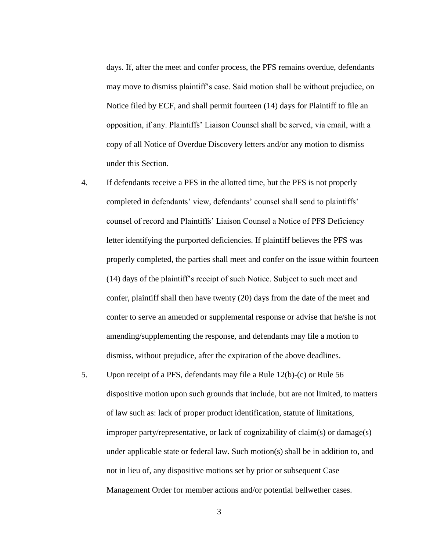days. If, after the meet and confer process, the PFS remains overdue, defendants may move to dismiss plaintiff's case. Said motion shall be without prejudice, on Notice filed by ECF, and shall permit fourteen (14) days for Plaintiff to file an opposition, if any. Plaintiffs' Liaison Counsel shall be served, via email, with a copy of all Notice of Overdue Discovery letters and/or any motion to dismiss under this Section.

- 4. If defendants receive a PFS in the allotted time, but the PFS is not properly completed in defendants' view, defendants' counsel shall send to plaintiffs' counsel of record and Plaintiffs' Liaison Counsel a Notice of PFS Deficiency letter identifying the purported deficiencies. If plaintiff believes the PFS was properly completed, the parties shall meet and confer on the issue within fourteen (14) days of the plaintiff's receipt of such Notice. Subject to such meet and confer, plaintiff shall then have twenty (20) days from the date of the meet and confer to serve an amended or supplemental response or advise that he/she is not amending/supplementing the response, and defendants may file a motion to dismiss, without prejudice, after the expiration of the above deadlines.
- 5. Upon receipt of a PFS, defendants may file a Rule 12(b)-(c) or Rule 56 dispositive motion upon such grounds that include, but are not limited, to matters of law such as: lack of proper product identification, statute of limitations, improper party/representative, or lack of cognizability of claim(s) or damage(s) under applicable state or federal law. Such motion(s) shall be in addition to, and not in lieu of, any dispositive motions set by prior or subsequent Case Management Order for member actions and/or potential bellwether cases.

3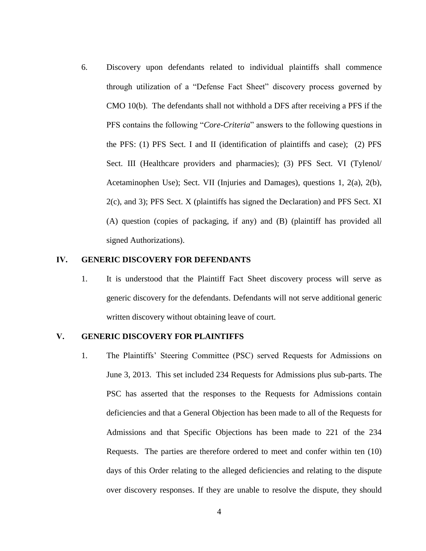6. Discovery upon defendants related to individual plaintiffs shall commence through utilization of a "Defense Fact Sheet" discovery process governed by CMO 10(b). The defendants shall not withhold a DFS after receiving a PFS if the PFS contains the following "*Core-Criteria*" answers to the following questions in the PFS: (1) PFS Sect. I and II (identification of plaintiffs and case); (2) PFS Sect. III (Healthcare providers and pharmacies); (3) PFS Sect. VI (Tylenol/ Acetaminophen Use); Sect. VII (Injuries and Damages), questions 1, 2(a), 2(b), 2(c), and 3); PFS Sect. X (plaintiffs has signed the Declaration) and PFS Sect. XI (A) question (copies of packaging, if any) and (B) (plaintiff has provided all signed Authorizations).

#### **IV. GENERIC DISCOVERY FOR DEFENDANTS**

1. It is understood that the Plaintiff Fact Sheet discovery process will serve as generic discovery for the defendants. Defendants will not serve additional generic written discovery without obtaining leave of court.

### **V. GENERIC DISCOVERY FOR PLAINTIFFS**

1. The Plaintiffs' Steering Committee (PSC) served Requests for Admissions on June 3, 2013. This set included 234 Requests for Admissions plus sub-parts. The PSC has asserted that the responses to the Requests for Admissions contain deficiencies and that a General Objection has been made to all of the Requests for Admissions and that Specific Objections has been made to 221 of the 234 Requests.The parties are therefore ordered to meet and confer within ten (10) days of this Order relating to the alleged deficiencies and relating to the dispute over discovery responses. If they are unable to resolve the dispute, they should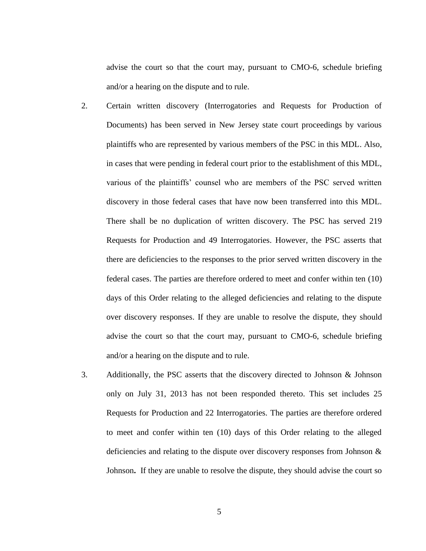advise the court so that the court may, pursuant to CMO-6, schedule briefing and/or a hearing on the dispute and to rule.

- 2. Certain written discovery (Interrogatories and Requests for Production of Documents) has been served in New Jersey state court proceedings by various plaintiffs who are represented by various members of the PSC in this MDL. Also, in cases that were pending in federal court prior to the establishment of this MDL, various of the plaintiffs' counsel who are members of the PSC served written discovery in those federal cases that have now been transferred into this MDL. There shall be no duplication of written discovery. The PSC has served 219 Requests for Production and 49 Interrogatories. However, the PSC asserts that there are deficiencies to the responses to the prior served written discovery in the federal cases. The parties are therefore ordered to meet and confer within ten (10) days of this Order relating to the alleged deficiencies and relating to the dispute over discovery responses. If they are unable to resolve the dispute, they should advise the court so that the court may, pursuant to CMO-6, schedule briefing and/or a hearing on the dispute and to rule.
- 3. Additionally, the PSC asserts that the discovery directed to Johnson & Johnson only on July 31, 2013 has not been responded thereto. This set includes 25 Requests for Production and 22 Interrogatories. The parties are therefore ordered to meet and confer within ten (10) days of this Order relating to the alleged deficiencies and relating to the dispute over discovery responses from Johnson & Johnson**.** If they are unable to resolve the dispute, they should advise the court so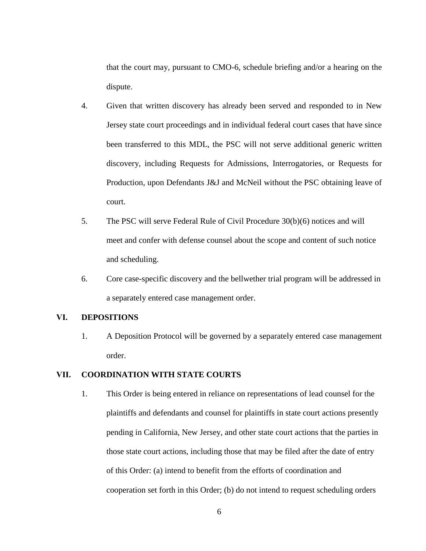that the court may, pursuant to CMO-6, schedule briefing and/or a hearing on the dispute.

- 4. Given that written discovery has already been served and responded to in New Jersey state court proceedings and in individual federal court cases that have since been transferred to this MDL, the PSC will not serve additional generic written discovery, including Requests for Admissions, Interrogatories, or Requests for Production, upon Defendants J&J and McNeil without the PSC obtaining leave of court.
- 5. The PSC will serve Federal Rule of Civil Procedure 30(b)(6) notices and will meet and confer with defense counsel about the scope and content of such notice and scheduling.
- 6. Core case-specific discovery and the bellwether trial program will be addressed in a separately entered case management order.

### **VI. DEPOSITIONS**

1. A Deposition Protocol will be governed by a separately entered case management order.

# **VII. COORDINATION WITH STATE COURTS**

1. This Order is being entered in reliance on representations of lead counsel for the plaintiffs and defendants and counsel for plaintiffs in state court actions presently pending in California, New Jersey, and other state court actions that the parties in those state court actions, including those that may be filed after the date of entry of this Order: (a) intend to benefit from the efforts of coordination and cooperation set forth in this Order; (b) do not intend to request scheduling orders